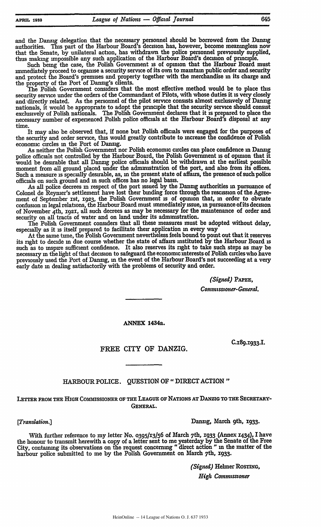and the Danzig delegation that the necessary personnel should be borrowed from the Danzig authorities. **Tins** part of the Harbour Board's decision has, however, become meaningless now that the Senate, **by** unilateral action, has withdrawn the police personnel previously supplied, thus making impossible any such application of the Harbour Board's decision of principle.

Such being the case, the Polish Government is of opinion that the Harbour Board must mmediately proceed to organise a security service of its own to maintain public order and security and protect the Board's premises and property together with the merchandise in its charge and the property of the Port of Danzig's clients.

The Polish Government considers that the most effective method would be to place this security service under the orders of the Commandant of Pilots, with whose duties it is very closely and directly related. As the personnel of the pilot service consists almost exclusively of Danzig nationals, it would be appropriate to adopt the principle that the security service should consist exclusively of Polish nationals. The Polish Government declares that it is prepared to place the necessary number of experienced Polish police officials at the Harbour Board's disposal at any time.

It may also be observed that, **if** none but Polish officials were engaged for the purposes of the security and order service, this would greatly contribute to increase the confidence of Polish economic circles **in** the Port of Danzig.

As neither the Polish Government nor Polish economic circles can place confidence in Danzig police officials not controlled **by** the Harbour Board, the Polish Government is of opinion that it would be desirable that all Danzig police officials should be withdrawn at the earliest possible moment from **all** ground placed under the admmistration of the port, and also from its offices. Such a measure **is** specially desirable, as, in the present state of affairs, the presence of such police officials on such ground and **in** such offices has no legal basis.

As all police decrees in respect of the port issued **by** the Danzig authorities **in** pursuance of Colonel de Reymer's settlement have lost their binding force through the rescission of the Agreement of September 1st, **1923,** the Polish Government **is** of opinion that, in order to obviate confusion **in** legal relations, the Harbour Board must immediately issue, in pursuance of its decision of November <sup>4</sup> th, **i92i,** all such decrees as may be necessary for the maintenance of order and security on all tracts of water and on land under its administration.

The Polish Government considers that all these measures must be adopted without delay, especially as it **is** itself prepared to facilitate their application **in** every way

At the same **tune,** the Polish Government nevertheless feels bound to point out that it reserves its right to decide **in** due course whether the state of affairs instituted **by** the Harbour Board **is** such as to inspire sufficient confidence. It also reserves its right to take such steps as may be necessary **in** the light of that decision to safeguard the economic interests of Polish circles who have previously used the Port of Danzig, **in** the event of the Harbour Board's not succeeding at a very early date in dealing satisfactorily with the problems of security and order.

*(Signed) PAPE,*

*Conmnissioner-General.*

**ANNEX 1434a.**

**C.189.x93 <sup>3</sup>.I.**

FREE CITY OF DANZIG.

HARBOUR POLICE. QUESTION OF " DIRECT ACTION"

LETTER FROM THE HIGH COMMISSIONER OF THE LEAGUE OF NATIONS AT DANZIG TO THE SECRETARY-**GENERAL.**

*[Translation.]* Danzig, March 9th, **x933.**

With further reference to my letter No. 0395/13/56 of March 7th, 1933 (Annex 1434), I have the honour to transmit herewith a copy of a letter sent to me yesterday by the Senate of the Free City, containing its observations on the request concerning "direct action" in the matter of the harbour police submitted to me by the Polish Government on March 7th, **1933.**

*(Signed)* Helmer **RosrING,**

*High Commissioner*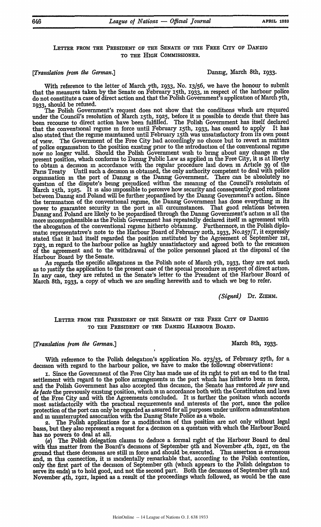## LETTER FROM THE PRESIDENT OF THE SENATE OF THE FREE CITY OF DANZIG TO THE HIGH COMMISSIONER.

# *[Translation from the German.]* Danzig, March 8th, 1933.

With reference to the letter of March <sup>7</sup> th, **1933,** No. 13/56, we have the honour to submit that the measures taken by the Senate on February 15th, 1933, in respect of the harbour police do not constitute a case of direct action and that the Polish Government's application of March 7th, 1933, should be refused.

The Polish Government's request does not show that the conditions which are required under the Council's resolution of March 15th, 1925, before it is possible to decide that there has been recourse to direct action have been fulfilled. The Polish Government has itself declared that the conventional regime **in** force until February 15th, 1933, has ceased to apply It has also stated that the regime maintained until February 15th was unsatisfactory from its own point of view. The Government of the Free City had accordingly no choice but to revert in matters of police organisation to the position existing prior to the introduction of the conventional regime now no longer valid. Should the Polish Government wish to bring about any change **in** the present position, which conforms to Danzig Public Law as applied in the Free City, it is at liberty to obtain a decision **in** accordance with the regular procedure laid down in Article 39 **of** the Paris Treaty Until such a decision is obtained, the only authority competent to deal with police organisation in the port of Danzig is the Danzig Government. There can be absolutely no question of the dispute's being prejudiced within the meaning of the Council's resolution of March 15th, 1925. It is also impossible to perceive how security and consequently good relations between Danzig and Poland will be further jeopardised by the Danzig Government's action. Since the termination of the conventional regime, the Danzig Government has done everything in its power to guarantee security in the port in all circumstances. That good relations between Danzig and Poland are likely to be jeopardised through fhe Danzig Government's action is all the more incomprehensible as the Polish Government has repeatedly declared itself in agreement with the abrogation of the conventional regime hitherto obtaining. Furthermore, in the Polish diplomatic representative's note to the Harbour Board of February 2oth, **1933,** No.257/T, it expressly stated that it had itself regarded the position instituted by the Agreement of September xst, 1923, m regard to the harbour police as highly unsatisfactory and agreed both to the rescission of the agreement and to the withdrawal of the police personnel placed at the disposal of the Harbour Board by the Senate.

As regards the specific allegations in the Polish note of March 7th, 1933, they are not such as to justify the application to the present case of the special procedure in respect of direct action. In any case, they are refuted **in** the Senate's letter to the President of the Harbour Board of March 8th, 1933, a copy of which we are sending herewith and to which we beg to refer.

*(Signed)* Dr. ZIEHM.

### **LETTER FROM THE PRESIDENT** OF **THE SENATE** OF **THE** FREE CiTY OF **DANZIG TO** THE **PRESIDENT OF THE DANZIG HARBOUR BOARD.**

### *[Translation from the German.]* March 8th, **1933.**

With reference to the Polish delegation's application No. **273/33,** of February 27th, for a decision with regard to the harbour police, we have to make the following observations:

i. Since the Government of the Free City has made use of its right to put an end to the trial settlement with regard to the police arrangements in the port which has hitherto been in force, and the Polish Government has also accepted this decision, the Senate has restored *de qure* and *de facto* the previously existing position, which is **in** accordance both with the Constitution and laws of the Free City and with the Agreements concluded. It is further the position which accords most satisfactorily with the practical requirements and interests of the port, since the police protection of the port can only be regarded as assured for all purposes under uniform administration and in uninterrupted association with the Danzig State Police as a whole.

2. The Polish applications for a modification of this position are not only without legal basis, but they also represent a request for a decision on a question with which the Harbour Board

has no powers to deal at all.<br>(a) The Polish delegation The Polish delegation claims to deduce a formal right of the Harbour Board to deal with this matter from the Board's decisions of September 9th and November 4th, 1921, on the ground that these decisions are still in force and should be. executed. This assertion is erroneous and, in this connection, it is incidentally remarkable that, according to the Polish contention, only the first part of the decision of September 9th (which appears to the Polish delegation to serve its ends) is to hold good, and not the second part. Both the decisions of September **9th** and November 4th, 1921, lapsed as a result of the proceedings which followed, as would be the case